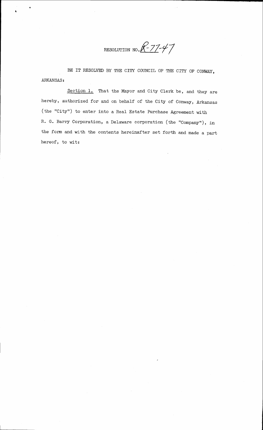RESOLUTION NO.  $R-77-47$ 

BE IT RESOLVED BY THE CITY COUNCIL OF THE CITY OF CONWAY, ABKANSAS:

section l. That the Mayor and city clerk be, and they are hereby, authorized for and on behalf of the City of Conway, Arkansas  $(the "City")$  to enter into a Real Estate Purchase Agreement with R. G. Barry Corporation, a Delaware corporation (the "Company"), in the forrn and with the contents hereinafter set forth and made a part hereof, to wit: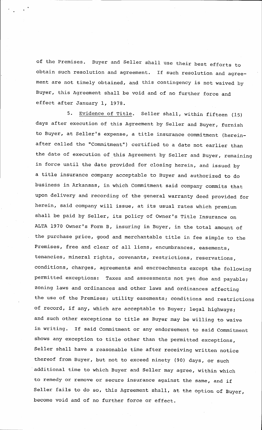of the Premises. Buyer and seller shall use their best efforts to obtain such resolution and agreement. If such resolution and agreement are not timely obtained, and this contingency is not waived by Buyer, this Agreement shall be void and of no further force and effect after January l, 1979.

5. Evidence of Title. Seller shall, within fifteen (15) days after execution of this Agreement by Seller and Buyer, furnish to Buyer, dt Sel1er's expense, a title insurance commitment (hereinafter called the "Commitment") certified to a date not earlier than the date of execution of this Agreement by Se1ler and Buyer, remaining in force until the date provided for closing herein, and issued by a title insurance company acceptable to Buyer and authorized to do business in Arkansas, in which Commitment said company commits that upon delivery and recording of the general warranty deed provided for herein, said company will issue, at its usual rates which premium shall be paid by Se1ler, its policy of Owner's Title Insurance on ALTA 1970 Owner's Form B, insuring in Buyer, in the total amount of the purchase price, good and merchantable title in fee simple to the Premises, free and clear of all liens, encumbrances, easements, tenancies, mineral rights, covenants, restrictions, reservations, conditions, charges, agreements and encroachments except the following permitted exceptions: Taxes and assessments not yet due and payable; zoning laws and ordinances and other laws and ordinances affecting the use of the Premises; utility easements; conditions and restrictions of record, if any, which are acceptable to Buyer; legal highways; and such other exceptions to title as Buyer may be willing to waive in writing. If said Commitment or any endorsement to said Commitment shows any exception to title other than the permitted exceptions, Seller shall have a reasonable time after receiving written notice thereof from Buyer, but not to exceed ninety (90) days, or such additional time to which Buyer and Seller may agree, within which to remedy or remove or secure insurance against the same, and if Seller fails to do so, this Agreement shall, at the option of Buyer, become void and of no further force or effect.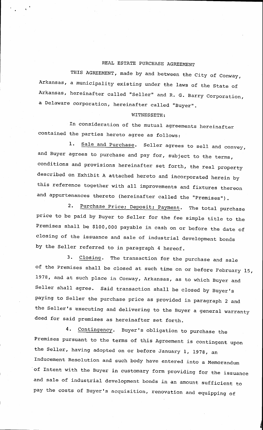## REAL ESTATE PURCHASE AGREEMENT

THIS AGREEMENT, made by and between the City of Conway, Arkansas, a municipality existing under the laws of the State of Arkansas, hereinafter called "Seller" and R. G. Barry Corporation, a Delaware corporation, hereinafter called "Buyer".

## WITNESSETH:

In consideration of the mutual agreements hereinafter contained the parties hereto agree as follows:

1. Sale and Purchase. Seller agrees to sell and convey, and Buyer agrees to purchase and pay for, subject to the terms, conditions and provisions hereinafter set forth, the real property described on Exhibit A attached hereto and incorporated herein by this reference together with all improvements and fixtures thereon and appurtenances thereto (hereinafter called the "Premises").

2. Purchase Price; Deposit; Payment. The total purchase price to be paid by Buyer to seller for the fee simple title to the Premises shall be \$100,000 payable in cash on or before the date of closing of the issuance and sale of industrial development bonds by the Sel1er referred to in paragraph 4 hereof.

3. Closing. The transaction for the purchase and sale of the Premises shall be closed at such time on or before February 15, 1978, and at such place in Conway, Arkansas, as to which Buyer and Seller shall agree. Said transaction shall be closed by Buyer's paying to Seller the purchase price as provided in paragraph 2 and the Seller's executing and delivering to the Buyer a general warranty deed for said premises as hereinafter set forth.

4. Contingency. Buyer's obligation to purchase the Premises pursuant to the terms of this Agreement is contingent upon the Seller, having adopted on or before January 1, 1978, an rnducement Resolution and such body have entered into a Memorandum of Intent with the Buyer in customary form providing for the issuance and sale of industrial development bonds in an amount sufficient to pay the costs of Buyer's acquisition, renovation and equipping of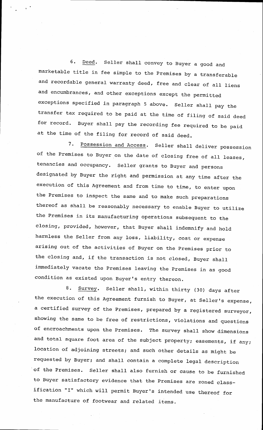6. Deed. Seller shall convey to Buyer a good and marketable title in fee simple to the Premises by a transferable and recordable general warranty deed, free and clear of all liens and encumbrances, and other exceptions except the permitted exceptions specified in paragraph 5 above. seller sha1l pay the transfer tax reguired to be paid at the time of filing of said deed for record. Buyer shall pay the recording fee required to be paid at the time of the filing for record of said deed.

7. Possession and Access. Seller shall deliver possession of the Premises to Buyer on the date of closing free of all leases, tenancies and occupancy. seller grants to Buyer and persons designated by Buyer the right and permission at any time after the execution of this Agreement and from time to time, to enter upon the Premises to inspect the same and to make such preparations thereof as shall be reasonably necessary to enable Buyer to utilize the Premises in its manufacturing operations subsequent to the closing, provided, however, that Buyer shall indemnify and hold harmless the Seller from any loss, liability, cost or expense arising out of the activities of Buyer on the premises prior to the closing and, if the transaction is not closed, Buyer shall immediately vacate the premises leaving the premises in as good condition as existed upon Buyer's entry thereon.

8. Survey. Seller shall, within thirty (30) days after the execution of this Agreement furnish to Buyer, at Seller's expense, a certified survey of the Premises, prepared by a registered surveyor, showing the same to be free of restrictions, violations and questions of encroachments upon the Premises. The survey shal1 show dimensions and total square foot area of the subject property; easements, if any; location of adjoining streets; and such other details as might be requested by Buyer; and shall contain a complete legal description of the Premises. seller sha1l also furnish or cause to be furnished to Buyer satisfactory evidence that the Premises are zoned classification "I" which will permit Buyer's intended use thereof for the manufacture of footwear and related items.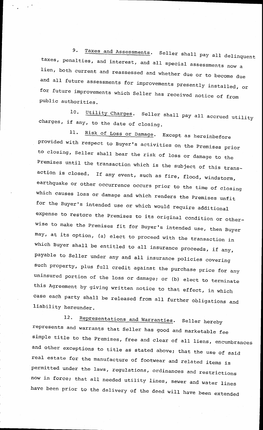9. Taxes and Assessments. Seller shall pay all delinquent taxes, penalties, and interest, and all special assessments now a<br>lien, both current and reassessed and whether due or to become due and all future assessments for improvements presently installed, or<br>for future improvements which Seller has received notice of from public authorities.

10. Utility Charges. Seller shall pay all accrued utility charges, if any, to the date of closing.

11. Risk of Loss or Damage. Except as hereinbefore provided with respect to Buyer's activities on the Premises prior to closing, Seller shall bear the risk of loss or damage to the Premises until the transaction which is the subject of this transaction is closed. If any event, such as fire, flood, windstorm, earthquake or other occurrence occurs prior to the time of closing which causes loss or damage and which renders the Premises unfit for the Buyer's intended use or which would require additional expense to restore the Premises to its original condition or otherwise to make the Premises fit for Buyer's intended use, then Buyer may, at its option, (a) elect to proceed with the transaction in which Buyer shall be entitled to all insurance proceeds, if any, payable to Seller under any and all insurance policies covering such property, plus full credit against the purchase price for any uninsured portion of the loss or damage; or (b) elect to terminate this Aqreement by giving written notice to that effect, in which case each party shal1 be released from all further obligations and liability hereunder.

12. Representations and Warranties. Seller hereby represents and warrants that Seller has good and marketable fee simple title to the Premises, free and clear of all liens, encumbrances and other exceptions to title as stated above; that the use of said real estate for the manufacture of footwear and related items is permitted under the laws, regulations, ordinances and restrictions now in force; that all needed utility lines, sewer and water lines have been prior to the delivery of the deed will have been extended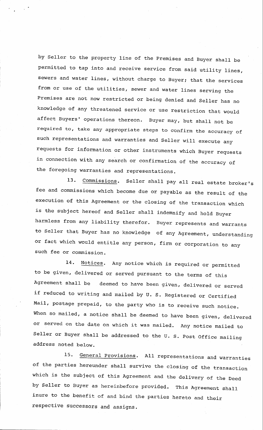by se11er to the property line of the Premises and. Buyer sha1l be permitted to tap into and receive service from said utility Iines, sewers and water lines, without charge to Buyer; that the services from or use of the utilities, sewer and water lines serving the Premises are not now restricted or being denied and Seller has no knowledge of any threatened service or use restriction that would affect Buyers' operations thereon. Buyer may, but shall not be reguired to, take any appropriate steps to confirm the accuracy of such representations and warranties and seller will execute any requests for information or other instruments which Buyer requests in connection with any search or confirmation of the accuracy of the foregoing warranties and representations.

13. Commissions. Seller shall pay all real estate broker's fee and commissions which become due or payable as the result of the execution of this Agreement or the closing of the transaction which is the subject hereof and seIler shall indemnify and hold Buyer harmless from any liability therefor. Buyer represents and warrants to Seller that Buyer has no knowledge of any Agreement, understanding or fact which would entitle any person, firm or corporation to anv such fee or commission.

14. Notices. Any notice which is required or permitted to be given, delivered or served pursuant to the terms of this Agreement shall be deemed to have been given, delivered or served if reduced to writing and mailed by u. s. Registered or certified Mail, postage prepaid, to the party who is to receive such notice. When so mailed, a notice shall be deemed to have been given, delivered or served on the date on which it was mailed. Any notice mailed to Seller or Buyer shall be addressed to the U. S. Post Office mailing address noted below.

15. General Provisions. All representations and warranties of the parties hereunder shall survive the closing of the transaction which is the subject of this Agreement and the delivery of the Deed by seller to Buyer as hereinbefore provided. This Agreement shall inure to the benefit of and bind the parties hereto and their respective successors and assigns.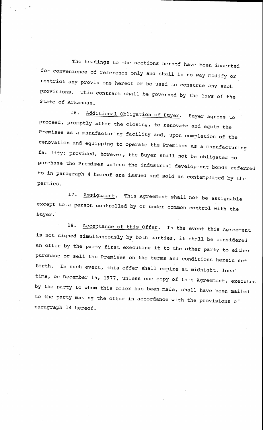The headings to the sections hereof have been inserted for convenience of reference only and shall in no way modify or restrict any provisions hereof or be used to construe any such provisions. This contract shall be governed by the laws of the State of Arkansas.

16, Additional Obligation of Buyer. Buyer agrees to proceed, promptly after the closing, to renovate and equip the Premises as a manufacturing facility and, upon completion of the renovation and equipping to operate the premises as a manufacturinq facility; provided, however, the Buyer shall not be obligated to purchase the Premises unless the industrial development bonds referred to in paragraph 4 hereof are issued and sold as contemplated by the parties.

17. Assignment. This Agreement shall not be assignable except to a person controlled by or under common control with the Buyer.

18. Acceptance of this Offer. In the event this Agreement is not signed simultaneously by both parties, it shall be considered an offer by the party first executing it to the other party to either purchase or sell the Premises on the terms and conditions herein set forth. In such event, this offer shall expire at midnight, local time, on December 15, 1977, unless one copy of this Agreement, executed by the party to whom this offer has been made, shall have been mailed to the party making the offer in accordance with the provisions of paragraph 14 hereof.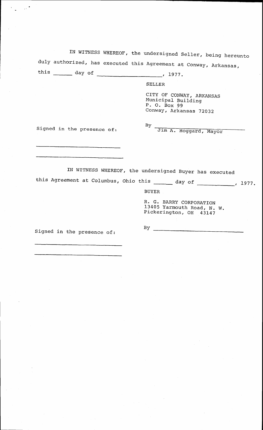|                                                                      | IN WITNESS WHEREOF, the undersigned Seller, being hereunto                               |
|----------------------------------------------------------------------|------------------------------------------------------------------------------------------|
| duly authorized, has executed this Agreement at Conway, Arkansas,    |                                                                                          |
| this $\frac{day \text{ of}}{x^{197}}$ .                              |                                                                                          |
|                                                                      | <b>SELLER</b>                                                                            |
|                                                                      | CITY OF CONWAY, ARKANSAS<br>Municipal Building<br>P. O. Box 99<br>Conway, Arkansas 72032 |
| Signed in the presence of:                                           | By Jim A. Hoggard, Mayor                                                                 |
|                                                                      |                                                                                          |
| IN WITNESS WHEREOF, the undersigned Buyer has executed               |                                                                                          |
| this Agreement at Columbus, Ohio this ______ day of _________, 1977. |                                                                                          |
|                                                                      | <b>BUYER</b>                                                                             |
|                                                                      | R. G. BARRY CORPORATION<br>13405 Yarmouth Road, N. W.<br>Pickerington, OH 43147          |
| Signed in the presence of:                                           | By                                                                                       |

 $\label{eq:2.1} \frac{1}{\sqrt{2\pi}}\int_{\mathbb{R}^3}\frac{d\mu}{\mu}\left(\frac{d\mu}{\mu}\right)^2\frac{d\mu}{\mu}\left(\frac{d\mu}{\mu}\right)^2\frac{d\mu}{\mu}\left(\frac{d\mu}{\mu}\right)^2.$ 

 $\frac{1}{\sqrt{2}}$